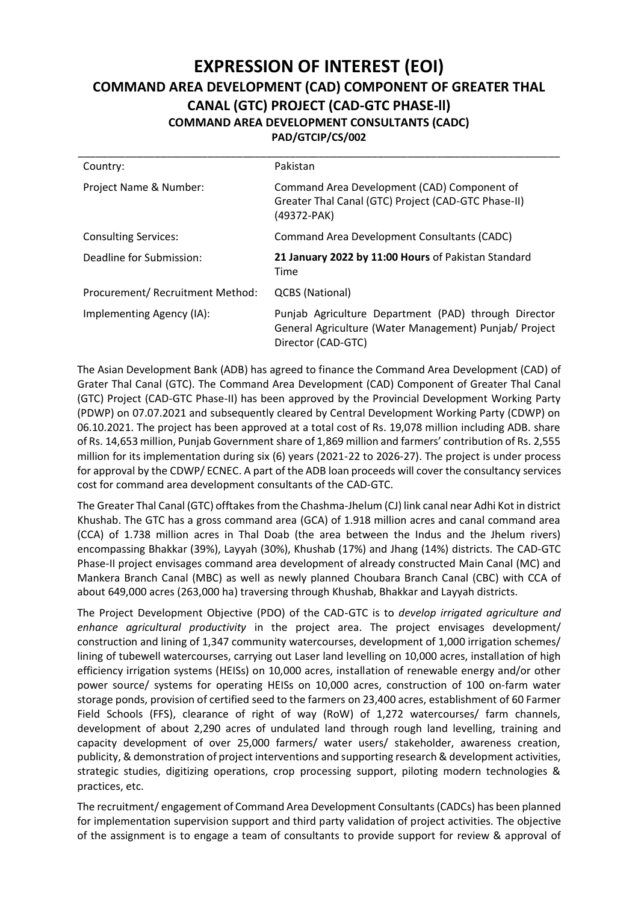## **EXPRESSION OF INTEREST (EOI) COMMAND AREA DEVELOPMENT (CAD) COMPONENT OF GREATER THAL CANAL (GTC) PROJECT (CAD-GTC PHASE-ll) COMMAND AREA DEVELOPMENT CONSULTANTS (CADC) PAD/GTCIP/CS/002**

| Country:                        | Pakistan                                                                                                                             |
|---------------------------------|--------------------------------------------------------------------------------------------------------------------------------------|
| Project Name & Number:          | Command Area Development (CAD) Component of<br>Greater Thal Canal (GTC) Project (CAD-GTC Phase-II)<br>(49372-PAK)                    |
| <b>Consulting Services:</b>     | Command Area Development Consultants (CADC)                                                                                          |
| Deadline for Submission:        | 21 January 2022 by 11:00 Hours of Pakistan Standard<br>Time                                                                          |
| Procurement/Recruitment Method: | QCBS (National)                                                                                                                      |
| Implementing Agency (IA):       | Punjab Agriculture Department (PAD) through Director<br>General Agriculture (Water Management) Punjab/ Project<br>Director (CAD-GTC) |

The Asian Development Bank (ADB) has agreed to finance the Command Area Development (CAD) of Grater Thal Canal (GTC). The Command Area Development (CAD) Component of Greater Thal Canal (GTC) Project (CAD-GTC Phase-II) has been approved by the Provincial Development Working Party (PDWP) on 07.07.2021 and subsequently cleared by Central Development Working Party (CDWP) on 06.10.2021. The project has been approved at a total cost of Rs. 19,078 million including ADB. share of Rs. 14,653 million, Punjab Government share of 1,869 million and farmers' contribution of Rs. 2,555 million for its implementation during six (6) years (2021-22 to 2026-27). The project is under process for approval by the CDWP/ ECNEC. A part of the ADB loan proceeds will cover the consultancy services cost for command area development consultants of the CAD-GTC.

The Greater Thal Canal (GTC) offtakes from the Chashma-Jhelum (CJ) link canal near Adhi Kot in district Khushab. The GTC has a gross command area (GCA) of 1.918 million acres and canal command area (CCA) of 1.738 million acres in Thal Doab (the area between the Indus and the Jhelum rivers) encompassing Bhakkar (39%), Layyah (30%), Khushab (17%) and Jhang (14%) districts. The CAD-GTC Phase-II project envisages command area development of already constructed Main Canal (MC) and Mankera Branch Canal (MBC) as well as newly planned Choubara Branch Canal (CBC) with CCA of about 649,000 acres (263,000 ha) traversing through Khushab, Bhakkar and Layyah districts.

The Project Development Objective (PDO) of the CAD-GTC is to *develop irrigated agriculture and enhance agricultural productivity* in the project area. The project envisages development/ construction and lining of 1,347 community watercourses, development of 1,000 irrigation schemes/ lining of tubewell watercourses, carrying out Laser land levelling on 10,000 acres, installation of high efficiency irrigation systems (HEISs) on 10,000 acres, installation of renewable energy and/or other power source/ systems for operating HEISs on 10,000 acres, construction of 100 on-farm water storage ponds, provision of certified seed to the farmers on 23,400 acres, establishment of 60 Farmer Field Schools (FFS), clearance of right of way (RoW) of 1,272 watercourses/ farm channels, development of about 2,290 acres of undulated land through rough land levelling, training and capacity development of over 25,000 farmers/ water users/ stakeholder, awareness creation, publicity, & demonstration of project interventions and supporting research & development activities, strategic studies, digitizing operations, crop processing support, piloting modern technologies & practices, etc.

The recruitment/ engagement of Command Area Development Consultants (CADCs) has been planned for implementation supervision support and third party validation of project activities. The objective of the assignment is to engage a team of consultants to provide support for review & approval of